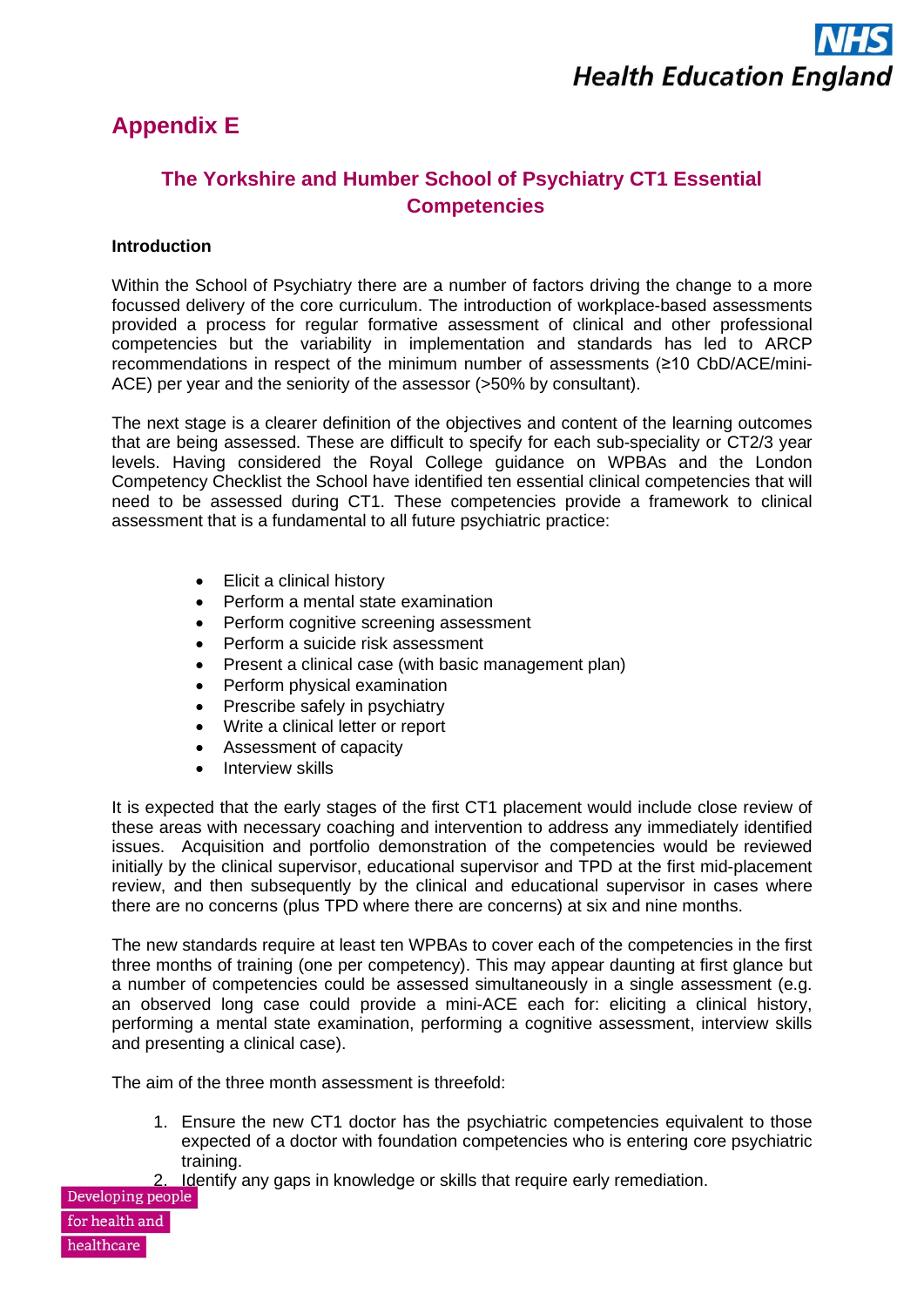## **Appendix E**

### **The Yorkshire and Humber School of Psychiatry CT1 Essential Competencies**

#### **Introduction**

Within the School of Psychiatry there are a number of factors driving the change to a more focussed delivery of the core curriculum. The introduction of workplace-based assessments provided a process for regular formative assessment of clinical and other professional competencies but the variability in implementation and standards has led to ARCP recommendations in respect of the minimum number of assessments (≥10 CbD/ACE/mini-ACE) per year and the seniority of the assessor (>50% by consultant).

The next stage is a clearer definition of the objectives and content of the learning outcomes that are being assessed. These are difficult to specify for each sub-speciality or CT2/3 year levels. Having considered the Royal College guidance on WPBAs and the London Competency Checklist the School have identified ten essential clinical competencies that will need to be assessed during CT1. These competencies provide a framework to clinical assessment that is a fundamental to all future psychiatric practice:

- Elicit a clinical history
- Perform a mental state examination
- Perform cognitive screening assessment
- Perform a suicide risk assessment
- Present a clinical case (with basic management plan)
- Perform physical examination
- Prescribe safely in psychiatry
- Write a clinical letter or report
- Assessment of capacity
- Interview skills

It is expected that the early stages of the first CT1 placement would include close review of these areas with necessary coaching and intervention to address any immediately identified issues. Acquisition and portfolio demonstration of the competencies would be reviewed initially by the clinical supervisor, educational supervisor and TPD at the first mid-placement review, and then subsequently by the clinical and educational supervisor in cases where there are no concerns (plus TPD where there are concerns) at six and nine months.

The new standards require at least ten WPBAs to cover each of the competencies in the first three months of training (one per competency). This may appear daunting at first glance but a number of competencies could be assessed simultaneously in a single assessment (e.g. an observed long case could provide a mini-ACE each for: eliciting a clinical history, performing a mental state examination, performing a cognitive assessment, interview skills and presenting a clinical case).

The aim of the three month assessment is threefold:

- 1. Ensure the new CT1 doctor has the psychiatric competencies equivalent to those expected of a doctor with foundation competencies who is entering core psychiatric training.
- 2. Identify any gaps in knowledge or skills that require early remediation.<br>Developing people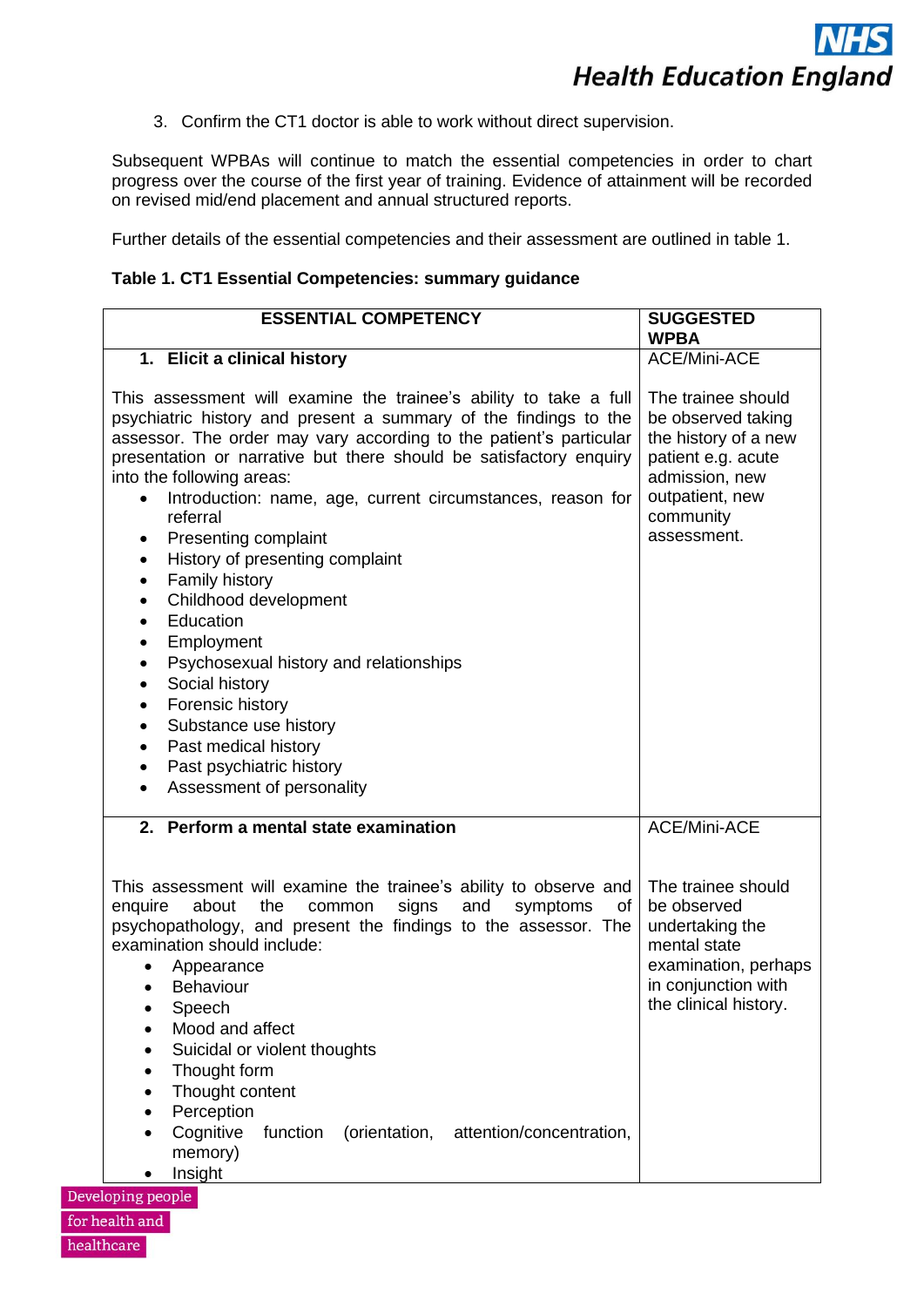3. Confirm the CT1 doctor is able to work without direct supervision.

Subsequent WPBAs will continue to match the essential competencies in order to chart progress over the course of the first year of training. Evidence of attainment will be recorded on revised mid/end placement and annual structured reports.

Further details of the essential competencies and their assessment are outlined in table 1.

#### **Table 1. CT1 Essential Competencies: summary guidance**

| <b>ESSENTIAL COMPETENCY</b>                                                                                                                                                                                                                                                                                                                                                                                                                                                                                                                                                                                                                                                                                                                                                                                                 | <b>SUGGESTED</b><br><b>WPBA</b>                                                                                                                         |
|-----------------------------------------------------------------------------------------------------------------------------------------------------------------------------------------------------------------------------------------------------------------------------------------------------------------------------------------------------------------------------------------------------------------------------------------------------------------------------------------------------------------------------------------------------------------------------------------------------------------------------------------------------------------------------------------------------------------------------------------------------------------------------------------------------------------------------|---------------------------------------------------------------------------------------------------------------------------------------------------------|
| 1. Elicit a clinical history                                                                                                                                                                                                                                                                                                                                                                                                                                                                                                                                                                                                                                                                                                                                                                                                | <b>ACE/Mini-ACE</b>                                                                                                                                     |
| This assessment will examine the trainee's ability to take a full<br>psychiatric history and present a summary of the findings to the<br>assessor. The order may vary according to the patient's particular<br>presentation or narrative but there should be satisfactory enquiry<br>into the following areas:<br>Introduction: name, age, current circumstances, reason for<br>referral<br>Presenting complaint<br>History of presenting complaint<br>Family history<br>$\bullet$<br>Childhood development<br>$\bullet$<br>Education<br>Employment<br>$\bullet$<br>Psychosexual history and relationships<br>$\bullet$<br>Social history<br>$\bullet$<br>Forensic history<br>$\bullet$<br>Substance use history<br>$\bullet$<br>Past medical history<br>$\bullet$<br>Past psychiatric history<br>Assessment of personality | The trainee should<br>be observed taking<br>the history of a new<br>patient e.g. acute<br>admission, new<br>outpatient, new<br>community<br>assessment. |
| 2. Perform a mental state examination                                                                                                                                                                                                                                                                                                                                                                                                                                                                                                                                                                                                                                                                                                                                                                                       | <b>ACE/Mini-ACE</b>                                                                                                                                     |
| This assessment will examine the trainee's ability to observe and<br>enquire<br>about<br>the<br>common<br>signs<br>and<br>of<br>symptoms<br>psychopathology, and present the findings to the assessor. The<br>examination should include:<br>Appearance<br>Behaviour<br>$\bullet$<br>Speech<br>Mood and affect<br>Suicidal or violent thoughts<br>Thought form<br>Thought content<br>$\bullet$<br>Perception<br>Cognitive<br>function<br>(orientation, attention/concentration,<br>memory)<br>Insight                                                                                                                                                                                                                                                                                                                       | The trainee should<br>be observed<br>undertaking the<br>mental state<br>examination, perhaps<br>in conjunction with<br>the clinical history.            |

Developing people for health and healthcare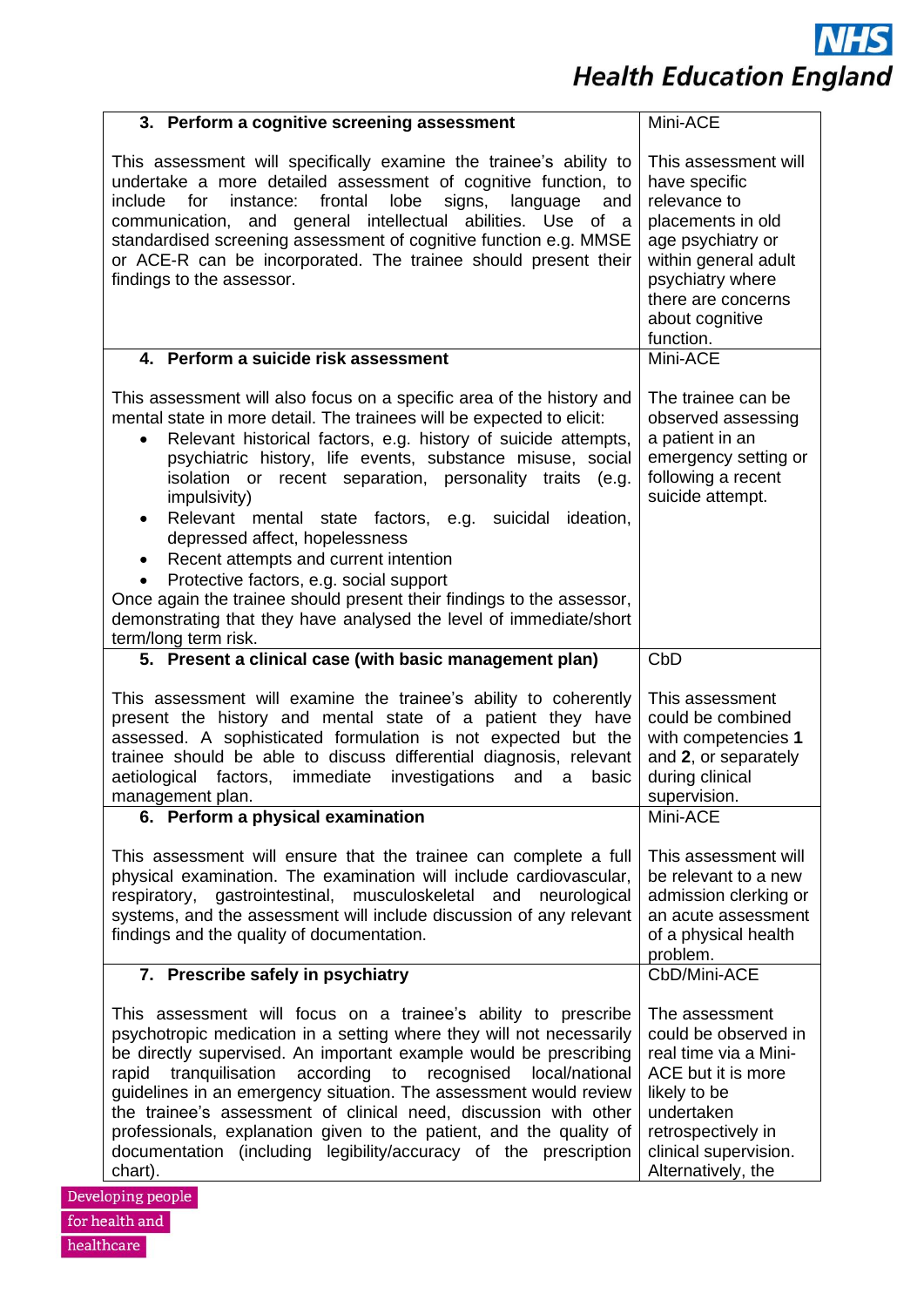**NHS Health Education England** 

| 3. Perform a cognitive screening assessment                                                                                                                                                                                                                                                                                                                                                                                                                                                                                                                                                                                                                                                                                                            | Mini-ACE                                                                                                                                                                                          |
|--------------------------------------------------------------------------------------------------------------------------------------------------------------------------------------------------------------------------------------------------------------------------------------------------------------------------------------------------------------------------------------------------------------------------------------------------------------------------------------------------------------------------------------------------------------------------------------------------------------------------------------------------------------------------------------------------------------------------------------------------------|---------------------------------------------------------------------------------------------------------------------------------------------------------------------------------------------------|
| This assessment will specifically examine the trainee's ability to<br>undertake a more detailed assessment of cognitive function, to<br>lobe<br>include<br>instance:<br>frontal<br>signs,<br>language<br>for<br>and<br>communication, and general intellectual abilities. Use<br>of a<br>standardised screening assessment of cognitive function e.g. MMSE<br>or ACE-R can be incorporated. The trainee should present their<br>findings to the assessor.                                                                                                                                                                                                                                                                                              | This assessment will<br>have specific<br>relevance to<br>placements in old<br>age psychiatry or<br>within general adult<br>psychiatry where<br>there are concerns<br>about cognitive<br>function. |
| 4. Perform a suicide risk assessment                                                                                                                                                                                                                                                                                                                                                                                                                                                                                                                                                                                                                                                                                                                   | Mini-ACE                                                                                                                                                                                          |
| This assessment will also focus on a specific area of the history and<br>mental state in more detail. The trainees will be expected to elicit:<br>Relevant historical factors, e.g. history of suicide attempts,<br>$\bullet$<br>psychiatric history, life events, substance misuse, social<br>isolation or recent separation, personality traits (e.g.<br>impulsivity)<br>Relevant mental state factors, e.g.<br>suicidal<br>ideation,<br>$\bullet$<br>depressed affect, hopelessness<br>Recent attempts and current intention<br>٠<br>Protective factors, e.g. social support<br>Once again the trainee should present their findings to the assessor,<br>demonstrating that they have analysed the level of immediate/short<br>term/long term risk. | The trainee can be<br>observed assessing<br>a patient in an<br>emergency setting or<br>following a recent<br>suicide attempt.                                                                     |
| 5. Present a clinical case (with basic management plan)                                                                                                                                                                                                                                                                                                                                                                                                                                                                                                                                                                                                                                                                                                | CbD                                                                                                                                                                                               |
| This assessment will examine the trainee's ability to coherently<br>present the history and mental state of a patient they have<br>assessed. A sophisticated formulation is not expected but the<br>trainee should be able to discuss differential diagnosis, relevant<br>immediate<br>investigations<br>aetiological<br>factors,<br>and<br>a<br>basic<br>management plan.                                                                                                                                                                                                                                                                                                                                                                             | This assessment<br>could be combined<br>with competencies 1<br>and 2, or separately<br>during clinical<br>supervision.                                                                            |
| 6. Perform a physical examination                                                                                                                                                                                                                                                                                                                                                                                                                                                                                                                                                                                                                                                                                                                      | Mini-ACE                                                                                                                                                                                          |
| This assessment will ensure that the trainee can complete a full<br>physical examination. The examination will include cardiovascular,<br>respiratory, gastrointestinal, musculoskeletal and neurological<br>systems, and the assessment will include discussion of any relevant<br>findings and the quality of documentation.                                                                                                                                                                                                                                                                                                                                                                                                                         | This assessment will<br>be relevant to a new<br>admission clerking or<br>an acute assessment<br>of a physical health<br>problem.                                                                  |
| 7. Prescribe safely in psychiatry                                                                                                                                                                                                                                                                                                                                                                                                                                                                                                                                                                                                                                                                                                                      | CbD/Mini-ACE                                                                                                                                                                                      |
| This assessment will focus on a trainee's ability to prescribe<br>psychotropic medication in a setting where they will not necessarily<br>be directly supervised. An important example would be prescribing<br>rapid tranquilisation according to recognised<br>local/national<br>guidelines in an emergency situation. The assessment would review<br>the trainee's assessment of clinical need, discussion with other<br>professionals, explanation given to the patient, and the quality of<br>documentation (including legibility/accuracy of the prescription<br>chart).<br>loping people                                                                                                                                                         | The assessment<br>could be observed in<br>real time via a Mini-<br>ACE but it is more<br>likely to be<br>undertaken<br>retrospectively in<br>clinical supervision.<br>Alternatively, the          |